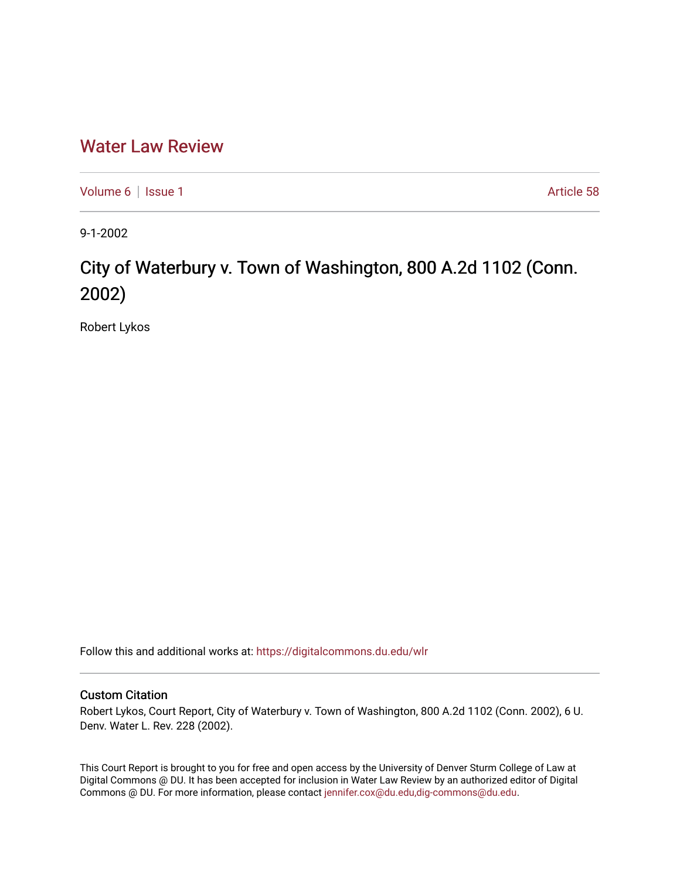## [Water Law Review](https://digitalcommons.du.edu/wlr)

[Volume 6](https://digitalcommons.du.edu/wlr/vol6) | [Issue 1](https://digitalcommons.du.edu/wlr/vol6/iss1) Article 58

9-1-2002

## City of Waterbury v. Town of Washington, 800 A.2d 1102 (Conn. 2002)

Robert Lykos

Follow this and additional works at: [https://digitalcommons.du.edu/wlr](https://digitalcommons.du.edu/wlr?utm_source=digitalcommons.du.edu%2Fwlr%2Fvol6%2Fiss1%2F58&utm_medium=PDF&utm_campaign=PDFCoverPages) 

## Custom Citation

Robert Lykos, Court Report, City of Waterbury v. Town of Washington, 800 A.2d 1102 (Conn. 2002), 6 U. Denv. Water L. Rev. 228 (2002).

This Court Report is brought to you for free and open access by the University of Denver Sturm College of Law at Digital Commons @ DU. It has been accepted for inclusion in Water Law Review by an authorized editor of Digital Commons @ DU. For more information, please contact [jennifer.cox@du.edu,dig-commons@du.edu.](mailto:jennifer.cox@du.edu,dig-commons@du.edu)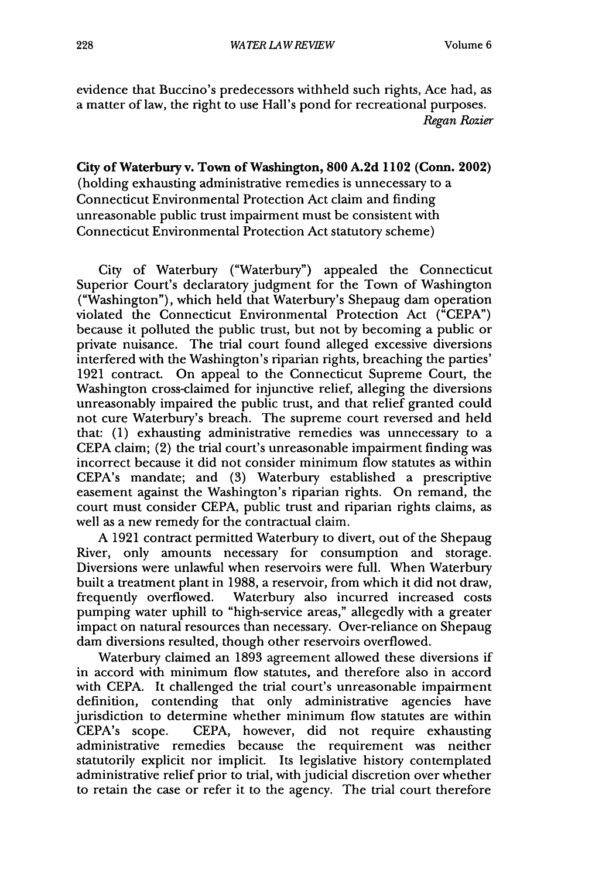evidence that Buccino's predecessors withheld such rights, Ace had, as a matter of law, the right to use Hall's pond for recreational purposes. *Regan Rozier*

**City of Waterbury v. Town of Washington, 800 A.2d 1102 (Conn. 2002)** (holding exhausting administrative remedies is unnecessary to a Connecticut Environmental Protection Act claim and finding unreasonable public trust impairment must be consistent with Connecticut Environmental Protection Act statutory scheme)

City of Waterbury ("Waterbury") appealed the Connecticut Superior Court's declaratory judgment for the Town of Washington ("Washington"), which held that Waterbury's Shepaug dam operation violated the Connecticut Environmental Protection Act ("CEPA") because it polluted the public trust, but not by becoming a public or private nuisance. The trial court found alleged excessive diversions interfered with the Washington's riparian rights, breaching the parties' 1921 contract. On appeal to the Connecticut Supreme Court, the Washington cross-claimed for injunctive relief, alleging the diversions unreasonably impaired the public trust, and that relief granted could not cure Waterbury's breach. The supreme court reversed and held that: (1) exhausting administrative remedies was unnecessary to a CEPA claim; (2) the trial court's unreasonable impairment finding was incorrect because it did not consider minimum flow statutes as within CEPA's mandate; and (3) Waterbury established a prescriptive easement against the Washington's riparian rights. On remand, the court must consider CEPA, public trust and riparian rights claims, as well as a new remedy for the contractual claim.

A 1921 contract permitted Waterbury to divert, out of the Shepaug River, only amounts necessary for consumption and storage. Diversions were unlawful when reservoirs were full. When Waterbury built a treatment plant in 1988, a reservoir, from which it did not draw, frequently overflowed. Waterbury also incurred increased costs pumping water uphill to "high-service areas," allegedly with a greater impact on natural resources than necessary. Over-reliance on Shepaug dam diversions resulted, though other reservoirs overflowed.

Waterbury claimed an 1893 agreement allowed these diversions if in accord with minimum flow statutes, and therefore also in accord with CEPA. It challenged the trial court's unreasonable impairment definition, contending that only administrative agencies have jurisdiction to determine whether minimum flow statutes are within CEPA's scope. CEPA, however, did not require exhausting administrative remedies because the requirement was neither statutorily explicit nor implicit. Its legislative history contemplated administrative relief prior to trial, with judicial discretion over whether to retain the case or refer it to the agency. The trial court therefore